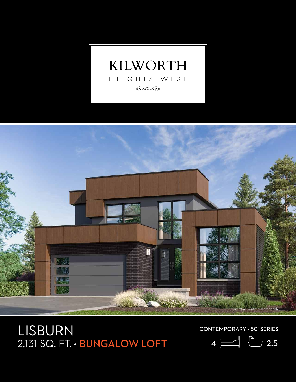



## LISBURN 2,131 SQ. FT. • BUNGALOW LOFT

CONTEMPORARY • 50' SERIES

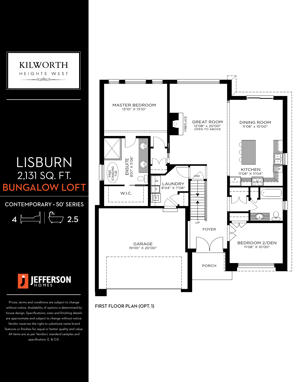

## LISBURN 2,131 SQ. FT. **BUNGALOW LOFT**

CONTEMPORARY • 50' SERIES

$$
4 \ \boxed{\boxed{}
$$
 2.5



Prices, terms and conditions are subject to change without notice. Availability of options is determined by house design. Specifications, sizes and finishing details are approximate and subject to change without notice. Vendor reserves the right to substitute name brand features or finishes for equal or better quality and value. All items are as per Vendors' standard samples and specification. E. & O.E.



FIRST FLOOR PLAN (OPT. 1)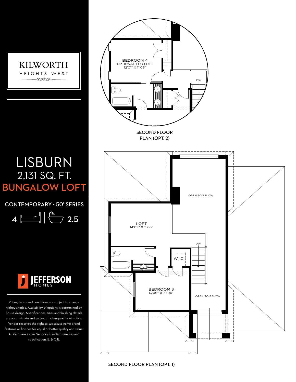

## LISBURN 2,131 SQ. FT. BUNGALOW LOFT

CONTEMPORARY • 50' SERIES

4 2.5



Prices, terms and conditions are subject to change without notice. Availability of options is determined by house design. Specifications, sizes and finishing details are approximate and subject to change without notice. Vendor reserves the right to substitute name brand features or finishes for equal or better quality and value. All items are as per Vendors' standard samples and specification. E. & O.E.



SECOND FLOOR PLAN (OPT. 1)